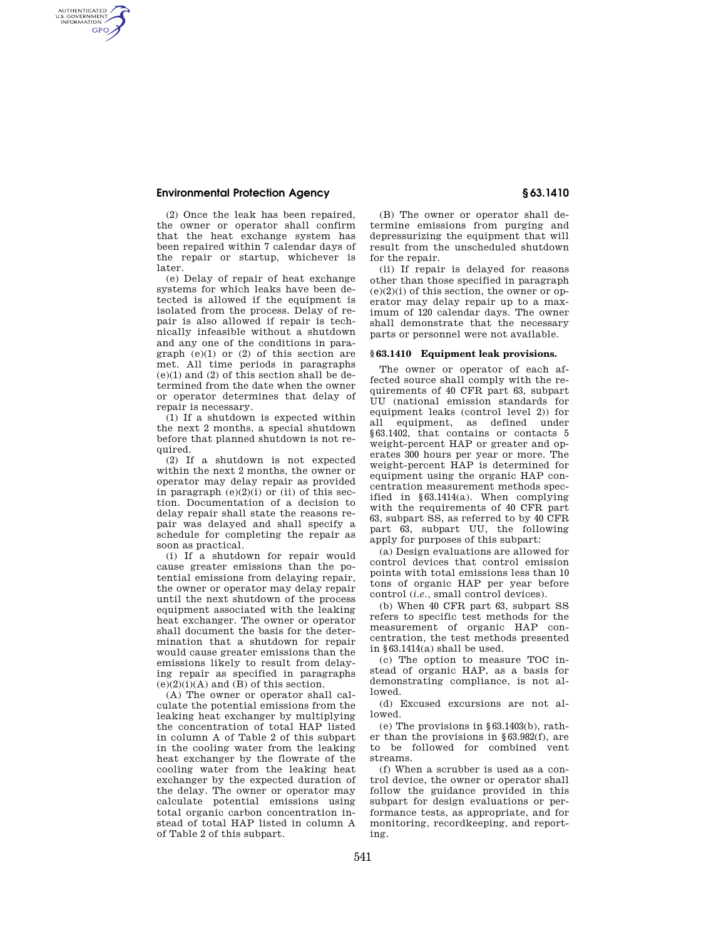## **Environmental Protection Agency § 63.1410**

AUTHENTICATED<br>U.S. GOVERNMENT<br>INFORMATION **GPO** 

> (2) Once the leak has been repaired, the owner or operator shall confirm that the heat exchange system has been repaired within 7 calendar days of the repair or startup, whichever is later.

> (e) Delay of repair of heat exchange systems for which leaks have been detected is allowed if the equipment is isolated from the process. Delay of repair is also allowed if repair is technically infeasible without a shutdown and any one of the conditions in paragraph (e)(1) or (2) of this section are met. All time periods in paragraphs  $(e)(1)$  and  $(2)$  of this section shall be determined from the date when the owner or operator determines that delay of repair is necessary.

 $(1)$  If a shutdown is expected within the next 2 months, a special shutdown before that planned shutdown is not required.

(2) If a shutdown is not expected within the next 2 months, the owner or operator may delay repair as provided in paragraph  $(e)(2)(i)$  or (ii) of this section. Documentation of a decision to delay repair shall state the reasons repair was delayed and shall specify a schedule for completing the repair as soon as practical.

(i) If a shutdown for repair would cause greater emissions than the potential emissions from delaying repair, the owner or operator may delay repair until the next shutdown of the process equipment associated with the leaking heat exchanger. The owner or operator shall document the basis for the determination that a shutdown for repair would cause greater emissions than the emissions likely to result from delaying repair as specified in paragraphs  $(e)(2)(i)(A)$  and  $(B)$  of this section.

(A) The owner or operator shall calculate the potential emissions from the leaking heat exchanger by multiplying the concentration of total HAP listed in column A of Table 2 of this subpart in the cooling water from the leaking heat exchanger by the flowrate of the cooling water from the leaking heat exchanger by the expected duration of the delay. The owner or operator may calculate potential emissions using total organic carbon concentration instead of total HAP listed in column A of Table 2 of this subpart.

(B) The owner or operator shall determine emissions from purging and depressurizing the equipment that will result from the unscheduled shutdown for the repair.

(ii) If repair is delayed for reasons other than those specified in paragraph  $(e)(2)(i)$  of this section, the owner or operator may delay repair up to a maximum of 120 calendar days. The owner shall demonstrate that the necessary parts or personnel were not available.

#### **§ 63.1410 Equipment leak provisions.**

The owner or operator of each affected source shall comply with the requirements of 40 CFR part 63, subpart UU (national emission standards for equipment leaks (control level 2)) for all equipment, as defined under §63.1402, that contains or contacts 5 weight-percent HAP or greater and operates 300 hours per year or more. The weight-percent HAP is determined for equipment using the organic HAP concentration measurement methods specified in §63.1414(a). When complying with the requirements of 40 CFR part 63, subpart SS, as referred to by 40 CFR part 63, subpart UU, the following apply for purposes of this subpart:

(a) Design evaluations are allowed for control devices that control emission points with total emissions less than 10 tons of organic HAP per year before control (*i.e.,* small control devices).

(b) When 40 CFR part 63, subpart SS refers to specific test methods for the measurement of organic HAP concentration, the test methods presented in §63.1414(a) shall be used.

(c) The option to measure TOC instead of organic HAP, as a basis for demonstrating compliance, is not allowed.

(d) Excused excursions are not allowed.

(e) The provisions in §63.1403(b), rather than the provisions in §63.982(f), are to be followed for combined vent streams.

(f) When a scrubber is used as a control device, the owner or operator shall follow the guidance provided in this subpart for design evaluations or performance tests, as appropriate, and for monitoring, recordkeeping, and reporting.